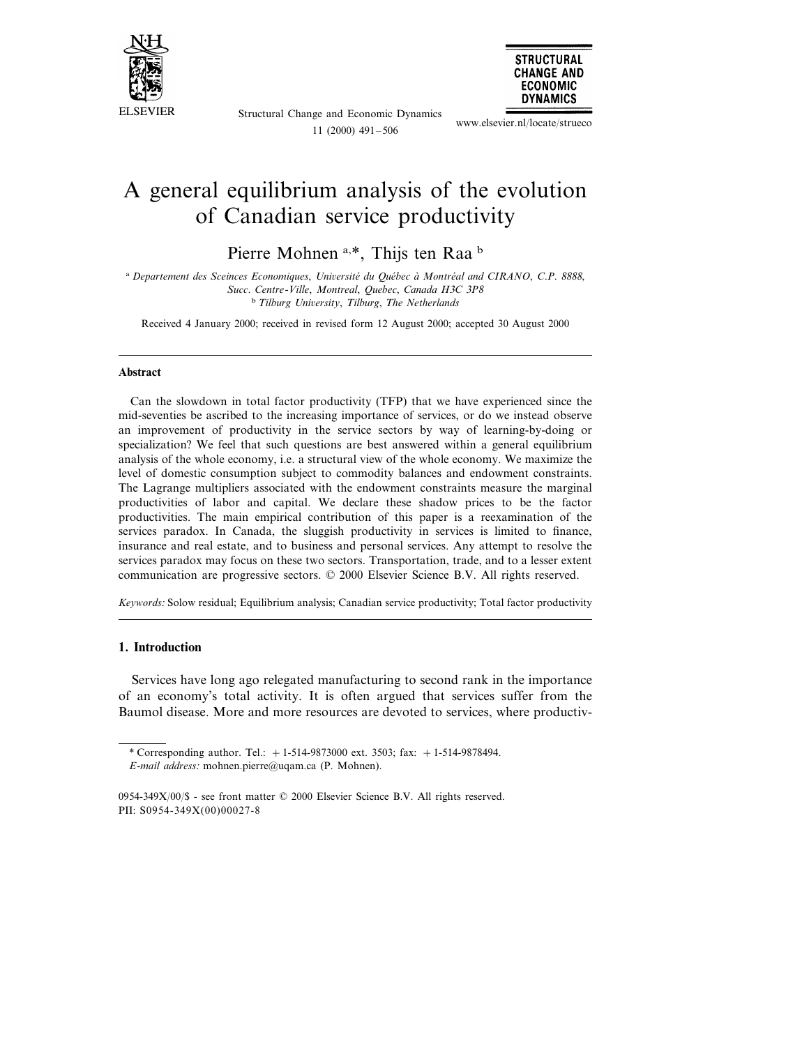



www.elsevier.nl/locate/strueco

**STRUCTURAL** 

# A general equilibrium analysis of the evolution of Canadian service productivity

 $11(2000)$  491 - 506

Pierre Mohnen a,\*, Thijs ten Raa<sup>b</sup>

<sup>a</sup> Departement des Sceinces Economiques, Université du Québec à Montréal and CIRANO, C.P. 8888, Succ. Centre-Ville, Montreal, Quebec, Canada H3C 3P8  $b$  Tilburg University, Tilburg, The Netherlands

Received 4 January 2000; received in revised form 12 August 2000; accepted 30 August 2000

#### **Abstract**

Can the slowdown in total factor productivity (TFP) that we have experienced since the mid-seventies be ascribed to the increasing importance of services, or do we instead observe an improvement of productivity in the service sectors by way of learning-by-doing or specialization? We feel that such questions are best answered within a general equilibrium analysis of the whole economy, i.e. a structural view of the whole economy. We maximize the level of domestic consumption subject to commodity balances and endowment constraints. The Lagrange multipliers associated with the endowment constraints measure the marginal productivities of labor and capital. We declare these shadow prices to be the factor productivities. The main empirical contribution of this paper is a reexamination of the services paradox. In Canada, the sluggish productivity in services is limited to finance, insurance and real estate, and to business and personal services. Any attempt to resolve the services paradox may focus on these two sectors. Transportation, trade, and to a lesser extent communication are progressive sectors. © 2000 Elsevier Science B.V. All rights reserved.

Keywords: Solow residual; Equilibrium analysis; Canadian service productivity; Total factor productivity

### 1. Introduction

Services have long ago relegated manufacturing to second rank in the importance of an economy's total activity. It is often argued that services suffer from the Baumol disease. More and more resources are devoted to services, where productiv-

<sup>\*</sup> Corresponding author. Tel.:  $+1-514-9873000$  ext. 3503; fax:  $+1-514-9878494$ . E-mail address: mohnen.pierre@uqam.ca (P. Mohnen).

<sup>0954-349</sup>X/00/\$ - see front matter © 2000 Elsevier Science B.V. All rights reserved. PII: S0954-349X(00)00027-8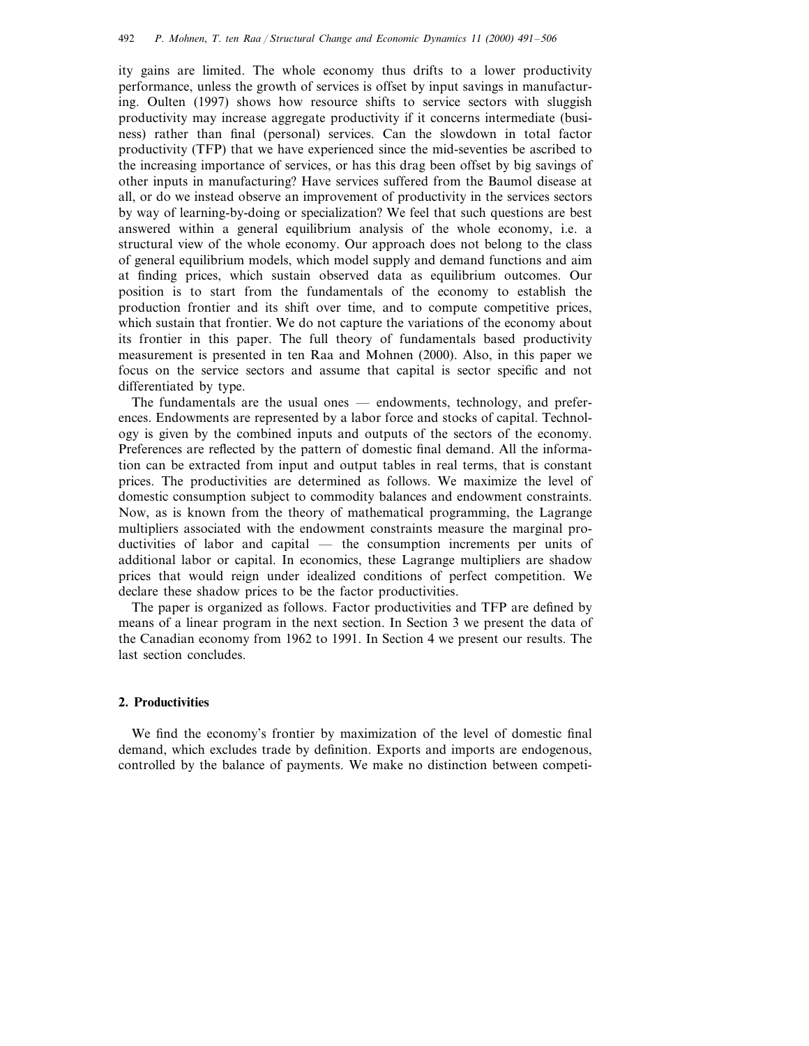ity gains are limited. The whole economy thus drifts to a lower productivity performance, unless the growth of services is offset by input savings in manufacturing. Oulten (1997) shows how resource shifts to service sectors with sluggish productivity may increase aggregate productivity if it concerns intermediate (business) rather than final (personal) services. Can the slowdown in total factor productivity (TFP) that we have experienced since the mid-seventies be ascribed to the increasing importance of services, or has this drag been offset by big savings of other inputs in manufacturing? Have services suffered from the Baumol disease at all, or do we instead observe an improvement of productivity in the services sectors by way of learning-by-doing or specialization? We feel that such questions are best answered within a general equilibrium analysis of the whole economy, i.e. a structural view of the whole economy. Our approach does not belong to the class of general equilibrium models, which model supply and demand functions and aim at finding prices, which sustain observed data as equilibrium outcomes. Our position is to start from the fundamentals of the economy to establish the production frontier and its shift over time, and to compute competitive prices, which sustain that frontier. We do not capture the variations of the economy about its frontier in this paper. The full theory of fundamentals based productivity measurement is presented in ten Raa and Mohnen (2000). Also, in this paper we focus on the service sectors and assume that capital is sector specific and not differentiated by type.

The fundamentals are the usual ones — endowments, technology, and preferences. Endowments are represented by a labor force and stocks of capital. Technology is given by the combined inputs and outputs of the sectors of the economy. Preferences are reflected by the pattern of domestic final demand. All the information can be extracted from input and output tables in real terms, that is constant prices. The productivities are determined as follows. We maximize the level of domestic consumption subject to commodity balances and endowment constraints. Now, as is known from the theory of mathematical programming, the Lagrange multipliers associated with the endowment constraints measure the marginal productivities of labor and capital — the consumption increments per units of additional labor or capital. In economics, these Lagrange multipliers are shadow prices that would reign under idealized conditions of perfect competition. We declare these shadow prices to be the factor productivities.

The paper is organized as follows. Factor productivities and TFP are defined by means of a linear program in the next section. In Section 3 we present the data of the Canadian economy from 1962 to 1991. In Section 4 we present our results. The last section concludes.

### **2. Productivities**

We find the economy's frontier by maximization of the level of domestic final demand, which excludes trade by definition. Exports and imports are endogenous, controlled by the balance of payments. We make no distinction between competi-